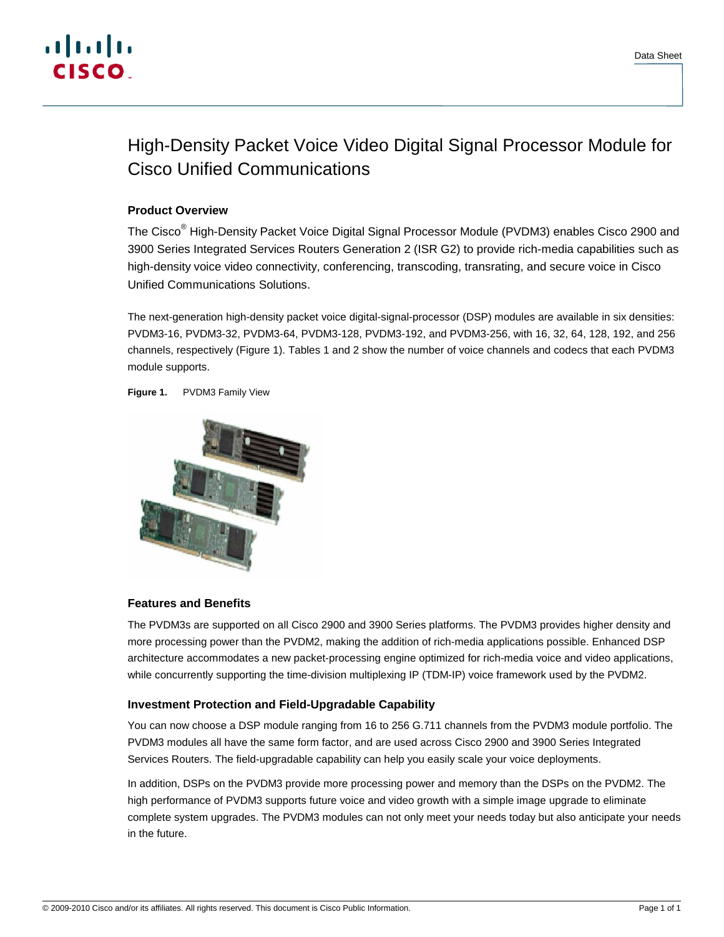

# High-Density Packet Voice Video Digital Signal Processor Module for Cisco Unified Communications

## **Product Overview**

The Cisco<sup>®</sup> High-Density Packet Voice Digital Signal Processor Module (PVDM3) enables Cisco 2900 and 3900 Series Integrated Services Routers Generation 2 (ISR G2) to provide rich-media capabilities such as high-density voice video connectivity, conferencing, transcoding, transrating, and secure voice in Cisco Unified Communications Solutions.

The next-generation high-density packet voice digital-signal-processor (DSP) modules are available in six densities: PVDM3-16, PVDM3-32, PVDM3-64, PVDM3-128, PVDM3-192, and PVDM3-256, with 16, 32, 64, 128, 192, and 256 channels, respectively (Figure 1). Tables 1 and 2 show the number of voice channels and codecs that each PVDM3 module supports.

**Figure 1.** PVDM3 Family View



## **Features and Benefits**

The PVDM3s are supported on all Cisco 2900 and 3900 Series platforms. The PVDM3 provides higher density and more processing power than the PVDM2, making the addition of rich-media applications possible. Enhanced DSP architecture accommodates a new packet-processing engine optimized for rich-media voice and video applications, while concurrently supporting the time-division multiplexing IP (TDM-IP) voice framework used by the PVDM2.

## **Investment Protection and Field-Upgradable Capability**

You can now choose a DSP module ranging from 16 to 256 G.711 channels from the PVDM3 module portfolio. The PVDM3 modules all have the same form factor, and are used across Cisco 2900 and 3900 Series Integrated Services Routers. The field-upgradable capability can help you easily scale your voice deployments.

In addition, DSPs on the PVDM3 provide more processing power and memory than the DSPs on the PVDM2. The high performance of PVDM3 supports future voice and video growth with a simple image upgrade to eliminate complete system upgrades. The PVDM3 modules can not only meet your needs today but also anticipate your needs in the future.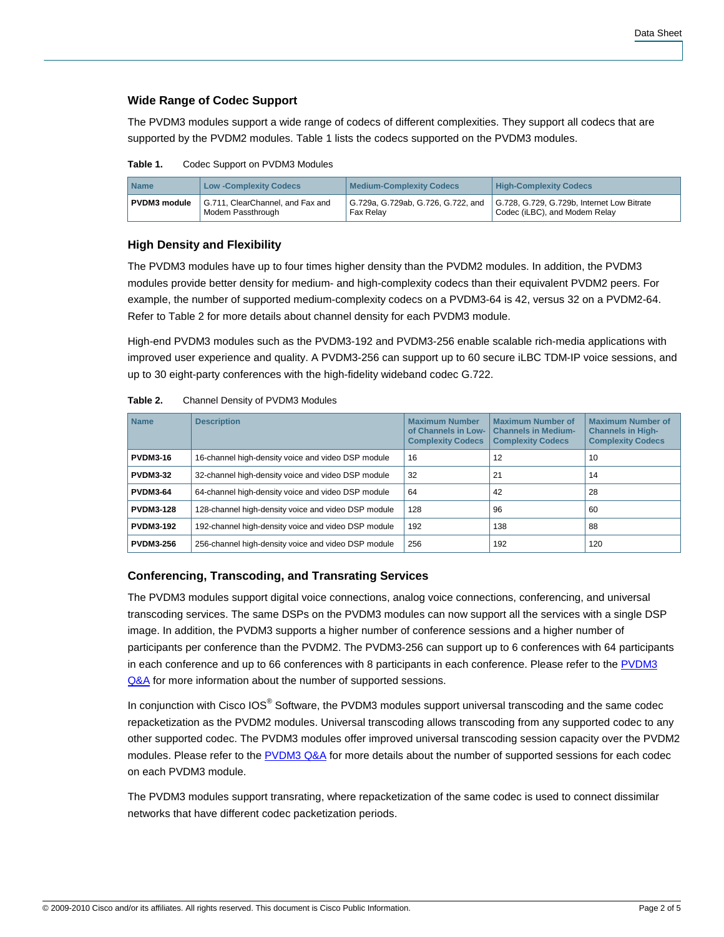## **Wide Range of Codec Support**

The PVDM3 modules support a wide range of codecs of different complexities. They support all codecs that are supported by the PVDM2 modules. Table 1 lists the codecs supported on the PVDM3 modules.

**Table 1.** Codec Support on PVDM3 Modules

| <b>Name</b>         | <b>Low-Complexity Codecs</b>                          | <b>Medium-Complexity Codecs</b> | <b>High-Complexity Codecs</b>                                                                                  |
|---------------------|-------------------------------------------------------|---------------------------------|----------------------------------------------------------------------------------------------------------------|
| <b>PVDM3</b> module | G.711, ClearChannel, and Fax and<br>Modem Passthrough | Fax Relay                       | G.729a, G.729ab, G.726, G.722, and G.728, G.729, G.729b, Internet Low Bitrate<br>Codec (iLBC), and Modem Relay |

## **High Density and Flexibility**

The PVDM3 modules have up to four times higher density than the PVDM2 modules. In addition, the PVDM3 modules provide better density for medium- and high-complexity codecs than their equivalent PVDM2 peers. For example, the number of supported medium-complexity codecs on a PVDM3-64 is 42, versus 32 on a PVDM2-64. Refer to Table 2 for more details about channel density for each PVDM3 module.

High-end PVDM3 modules such as the PVDM3-192 and PVDM3-256 enable scalable rich-media applications with improved user experience and quality. A PVDM3-256 can support up to 60 secure iLBC TDM-IP voice sessions, and up to 30 eight-party conferences with the high-fidelity wideband codec G.722.

| <b>Name</b>      | <b>Description</b>                                  | <b>Maximum Number</b><br>of Channels in Low-<br><b>Complexity Codecs</b> | <b>Maximum Number of</b><br><b>Channels in Medium-</b><br><b>Complexity Codecs</b> | <b>Maximum Number of</b><br><b>Channels in High-</b><br><b>Complexity Codecs</b> |
|------------------|-----------------------------------------------------|--------------------------------------------------------------------------|------------------------------------------------------------------------------------|----------------------------------------------------------------------------------|
| <b>PVDM3-16</b>  | 16-channel high-density voice and video DSP module  | 16                                                                       | 12                                                                                 | 10                                                                               |
| <b>PVDM3-32</b>  | 32-channel high-density voice and video DSP module  | 32                                                                       | 21                                                                                 | 14                                                                               |
| <b>PVDM3-64</b>  | 64-channel high-density voice and video DSP module  | 64                                                                       | 42                                                                                 | 28                                                                               |
| <b>PVDM3-128</b> | 128-channel high-density voice and video DSP module | 128                                                                      | 96                                                                                 | 60                                                                               |
| <b>PVDM3-192</b> | 192-channel high-density voice and video DSP module | 192                                                                      | 138                                                                                | 88                                                                               |
| <b>PVDM3-256</b> | 256-channel high-density voice and video DSP module | 256                                                                      | 192                                                                                | 120                                                                              |

**Table 2.** Channel Density of PVDM3 Modules

# **Conferencing, Transcoding, and Transrating Services**

The PVDM3 modules support digital voice connections, analog voice connections, conferencing, and universal transcoding services. The same DSPs on the PVDM3 modules can now support all the services with a single DSP image. In addition, the PVDM3 supports a higher number of conference sessions and a higher number of participants per conference than the PVDM2. The PVDM3-256 can support up to 6 conferences with 64 participants in each conference and up to 66 conferences with 8 participants in each conference. Please refer to the [PVDM3](http://www.cisco.com/en/US/prod/collateral/modules/ps3115/qa_c67_553073.html) [Q&A](http://www.cisco.com/en/US/prod/collateral/modules/ps3115/qa_c67_553073.html) for more information about the number of supported sessions.

In conjunction with Cisco IOS® Software, the PVDM3 modules support universal transcoding and the same codec repacketization as the PVDM2 modules. Universal transcoding allows transcoding from any supported codec to any other supported codec. The PVDM3 modules offer improved universal transcoding session capacity over the PVDM2 modules. Please refer to the [PVDM3 Q&A](http://www.cisco.com/en/US/prod/collateral/modules/ps3115/qa_c67_553073.html) for more details about the number of supported sessions for each codec on each PVDM3 module.

The PVDM3 modules support transrating, where repacketization of the same codec is used to connect dissimilar networks that have different codec packetization periods.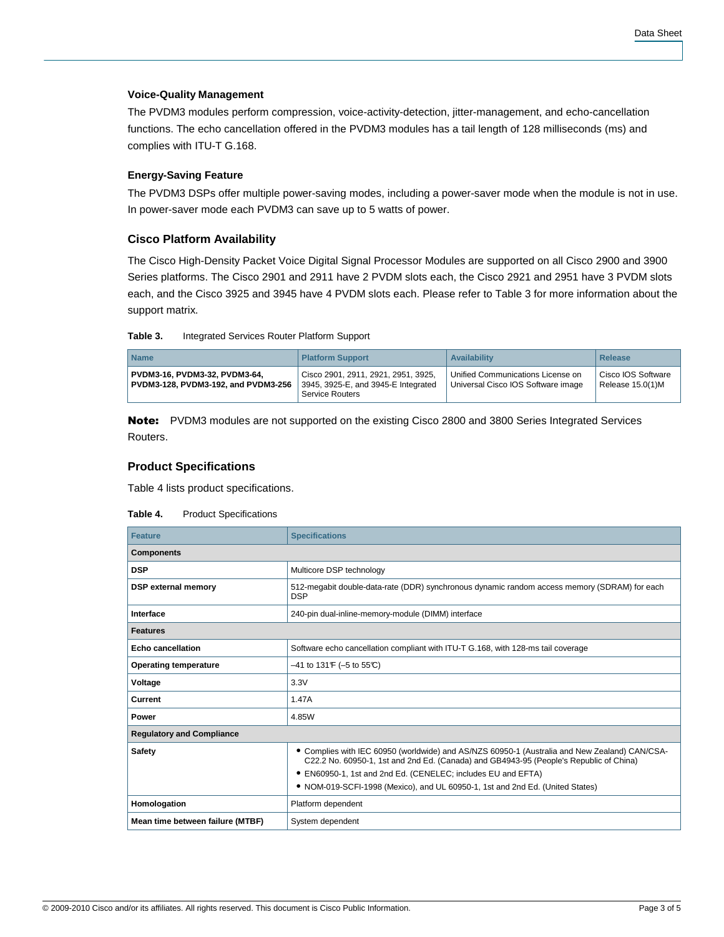#### **Voice-Quality Management**

The PVDM3 modules perform compression, voice-activity-detection, jitter-management, and echo-cancellation functions. The echo cancellation offered in the PVDM3 modules has a tail length of 128 milliseconds (ms) and complies with ITU-T G.168.

## **Energy-Saving Feature**

The PVDM3 DSPs offer multiple power-saving modes, including a power-saver mode when the module is not in use. In power-saver mode each PVDM3 can save up to 5 watts of power.

#### **Cisco Platform Availability**

The Cisco High-Density Packet Voice Digital Signal Processor Modules are supported on all Cisco 2900 and 3900 Series platforms. The Cisco 2901 and 2911 have 2 PVDM slots each, the Cisco 2921 and 2951 have 3 PVDM slots each, and the Cisco 3925 and 3945 have 4 PVDM slots each. Please refer to Table 3 for more information about the support matrix.

| Table 3. | Integrated Services Router Platform Support |  |  |
|----------|---------------------------------------------|--|--|
|          |                                             |  |  |

| <b>Name</b>                                                          | <b>Platform Support</b>                                                                       | <b>Availability</b>                                                     | Release                                  |
|----------------------------------------------------------------------|-----------------------------------------------------------------------------------------------|-------------------------------------------------------------------------|------------------------------------------|
| PVDM3-16, PVDM3-32, PVDM3-64,<br>PVDM3-128, PVDM3-192, and PVDM3-256 | Cisco 2901, 2911, 2921, 2951, 3925.<br>3945, 3925-E, and 3945-E Integrated<br>Service Routers | Unified Communications License on<br>Universal Cisco IOS Software image | l Cisco IOS Software<br>Release 15.0(1)M |

Note: PVDM3 modules are not supported on the existing Cisco 2800 and 3800 Series Integrated Services Routers.

### **Product Specifications**

Table 4 lists product specifications.

| Table 4. | <b>Product Specifications</b> |
|----------|-------------------------------|
|----------|-------------------------------|

| <b>Feature</b>                   | <b>Specifications</b>                                                                                                                                                                   |  |
|----------------------------------|-----------------------------------------------------------------------------------------------------------------------------------------------------------------------------------------|--|
| <b>Components</b>                |                                                                                                                                                                                         |  |
| <b>DSP</b>                       | Multicore DSP technology                                                                                                                                                                |  |
| <b>DSP</b> external memory       | 512-megabit double-data-rate (DDR) synchronous dynamic random access memory (SDRAM) for each<br><b>DSP</b>                                                                              |  |
| Interface                        | 240-pin dual-inline-memory-module (DIMM) interface                                                                                                                                      |  |
| <b>Features</b>                  |                                                                                                                                                                                         |  |
| <b>Echo cancellation</b>         | Software echo cancellation compliant with ITU-T G.168, with 128-ms tail coverage                                                                                                        |  |
| <b>Operating temperature</b>     | $-41$ to 131 F ( $-5$ to 55 °C)                                                                                                                                                         |  |
| Voltage                          | 3.3V                                                                                                                                                                                    |  |
| Current                          | 1.47A                                                                                                                                                                                   |  |
| Power                            | 4.85W                                                                                                                                                                                   |  |
| <b>Regulatory and Compliance</b> |                                                                                                                                                                                         |  |
| <b>Safety</b>                    | • Complies with IEC 60950 (worldwide) and AS/NZS 60950-1 (Australia and New Zealand) CAN/CSA-<br>C22.2 No. 60950-1, 1st and 2nd Ed. (Canada) and GB4943-95 (People's Republic of China) |  |
|                                  | • EN60950-1, 1st and 2nd Ed. (CENELEC; includes EU and EFTA)                                                                                                                            |  |
|                                  | • NOM-019-SCFI-1998 (Mexico), and UL 60950-1, 1st and 2nd Ed. (United States)                                                                                                           |  |
| Homologation                     | Platform dependent                                                                                                                                                                      |  |
| Mean time between failure (MTBF) | System dependent                                                                                                                                                                        |  |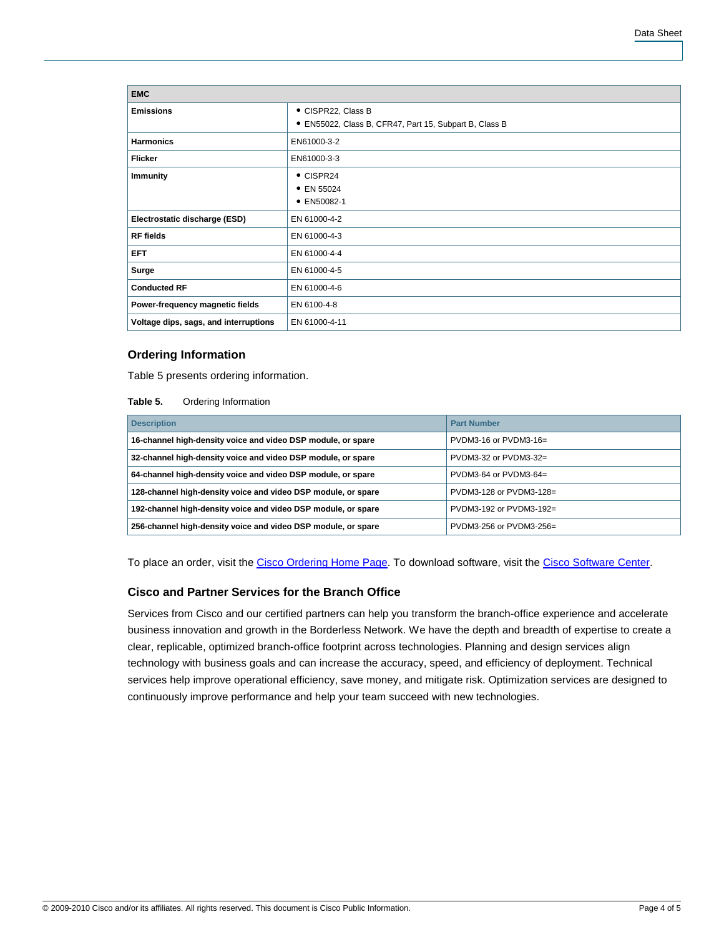| <b>EMC</b>                            |                                                        |  |
|---------------------------------------|--------------------------------------------------------|--|
| <b>Emissions</b>                      | • CISPR22, Class B                                     |  |
|                                       | • EN55022, Class B, CFR47, Part 15, Subpart B, Class B |  |
| <b>Harmonics</b>                      | EN61000-3-2                                            |  |
| <b>Flicker</b>                        | EN61000-3-3                                            |  |
| <b>Immunity</b>                       | $\bullet$ CISPR24                                      |  |
|                                       | • EN 55024                                             |  |
|                                       | • EN50082-1                                            |  |
| Electrostatic discharge (ESD)         | EN 61000-4-2                                           |  |
| <b>RF</b> fields                      | EN 61000-4-3                                           |  |
| <b>EFT</b>                            | EN 61000-4-4                                           |  |
| Surge                                 | EN 61000-4-5                                           |  |
| <b>Conducted RF</b>                   | EN 61000-4-6                                           |  |
| Power-frequency magnetic fields       | EN 6100-4-8                                            |  |
| Voltage dips, sags, and interruptions | EN 61000-4-11                                          |  |

#### **Ordering Information**

Table 5 presents ordering information.

#### **Table 5.** Ordering Information

| <b>Description</b>                                            | <b>Part Number</b>        |  |
|---------------------------------------------------------------|---------------------------|--|
| 16-channel high-density voice and video DSP module, or spare  | $PVDM3-16$ or $PVDM3-16=$ |  |
| 32-channel high-density voice and video DSP module, or spare  | $PVDM3-32$ or $PVDM3-32=$ |  |
| 64-channel high-density voice and video DSP module, or spare  | $PVDM3-64$ or $PVDM3-64=$ |  |
| 128-channel high-density voice and video DSP module, or spare | PVDM3-128 or PVDM3-128=   |  |
| 192-channel high-density voice and video DSP module, or spare | PVDM3-192 or PVDM3-192=   |  |
| 256-channel high-density voice and video DSP module, or spare | PVDM3-256 or PVDM3-256=   |  |

To place an order, visit the [Cisco Ordering Home Page](http://www.cisco.com/en/US/ordering/index.shtml). To download software, visit the [Cisco Software Center.](http://www.cisco.com/cisco/web/download/index.html)

## **Cisco and Partner Services for the Branch Office**

Services from Cisco and our certified partners can help you transform the branch-office experience and accelerate business innovation and growth in the Borderless Network. We have the depth and breadth of expertise to create a clear, replicable, optimized branch-office footprint across technologies. Planning and design services align technology with business goals and can increase the accuracy, speed, and efficiency of deployment. Technical services help improve operational efficiency, save money, and mitigate risk. Optimization services are designed to continuously improve performance and help your team succeed with new technologies.